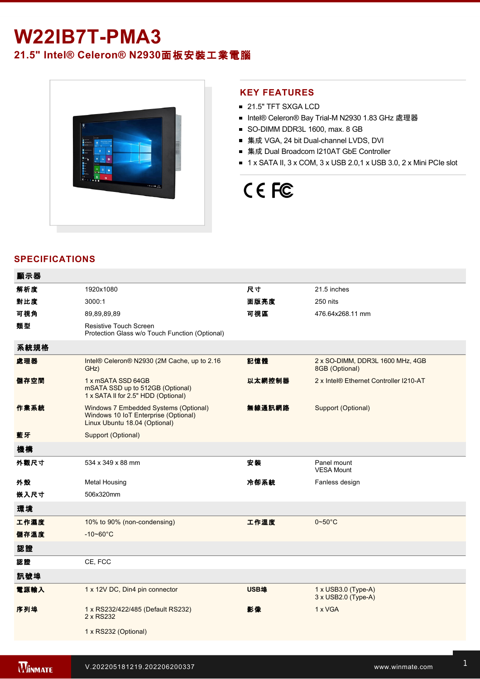## **W22IB7T-PMA3**

### **21.5" Intel® Celeron® N2930**面板安裝工業電腦



#### **KEY FEATURES**

- 21.5" TFT SXGA LCD
- Intel® Celeron® Bay Trial-M N2930 1.83 GHz 處理器
- SO-DIMM DDR3L 1600, max. 8 GB
- 集成 VGA, 24 bit Dual-channel LVDS, DVI
- 集成 Dual Broadcom I210AT GbE Controller
- $\blacksquare$  1 x SATA II, 3 x COM, 3 x USB 2.0,1 x USB 3.0, 2 x Mini PCIe slot

# CE FC

### **SPECIFICATIONS**

| 顯示器  |                                                                                                                |        |                                                          |
|------|----------------------------------------------------------------------------------------------------------------|--------|----------------------------------------------------------|
| 解析度  | 1920x1080                                                                                                      | 尺寸     | 21.5 inches                                              |
| 對比度  | 3000:1                                                                                                         | 面版亮度   | 250 nits                                                 |
| 可視角  | 89,89,89,89                                                                                                    | 可視區    | 476.64x268.11 mm                                         |
| 類型   | <b>Resistive Touch Screen</b><br>Protection Glass w/o Touch Function (Optional)                                |        |                                                          |
| 系統規格 |                                                                                                                |        |                                                          |
| 處理器  | Intel® Celeron® N2930 (2M Cache, up to 2.16)<br>GHz)                                                           | 記憶體    | 2 x SO-DIMM, DDR3L 1600 MHz, 4GB<br>8GB (Optional)       |
| 儲存空間 | 1 x mSATA SSD 64GB<br>mSATA SSD up to 512GB (Optional)<br>1 x SATA II for 2.5" HDD (Optional)                  | 以太網控制器 | 2 x Intel® Ethernet Controller I210-AT                   |
| 作業系統 | Windows 7 Embedded Systems (Optional)<br>Windows 10 IoT Enterprise (Optional)<br>Linux Ubuntu 18.04 (Optional) | 無線通訊網路 | Support (Optional)                                       |
| 藍牙   | Support (Optional)                                                                                             |        |                                                          |
| 機構   |                                                                                                                |        |                                                          |
| 外觀尺寸 | 534 x 349 x 88 mm                                                                                              | 安裝     | Panel mount<br><b>VESA Mount</b>                         |
| 外殼   | <b>Metal Housing</b>                                                                                           | 冷卻系統   | Fanless design                                           |
| 嵌入尺寸 | 506x320mm                                                                                                      |        |                                                          |
| 環境   |                                                                                                                |        |                                                          |
| 工作濕度 | 10% to 90% (non-condensing)                                                                                    | 工作溫度   | $0 - 50$ °C                                              |
| 儲存溫度 | $-10 - 60^{\circ}C$                                                                                            |        |                                                          |
| 認證   |                                                                                                                |        |                                                          |
| 認證   | CE, FCC                                                                                                        |        |                                                          |
| 訊號埠  |                                                                                                                |        |                                                          |
| 電源輸入 | 1 x 12V DC, Din4 pin connector                                                                                 | USB埠   | $1 \times$ USB3.0 (Type-A)<br>$3 \times$ USB2.0 (Type-A) |
| 序列埠  | 1 x RS232/422/485 (Default RS232)<br>2 x RS232                                                                 | 影像     | 1 x VGA                                                  |
|      | 1 x RS232 (Optional)                                                                                           |        |                                                          |
|      |                                                                                                                |        |                                                          |

Line in

1 x Led indicator for storage and storage in the storage storage in the storage storage in the storage storage